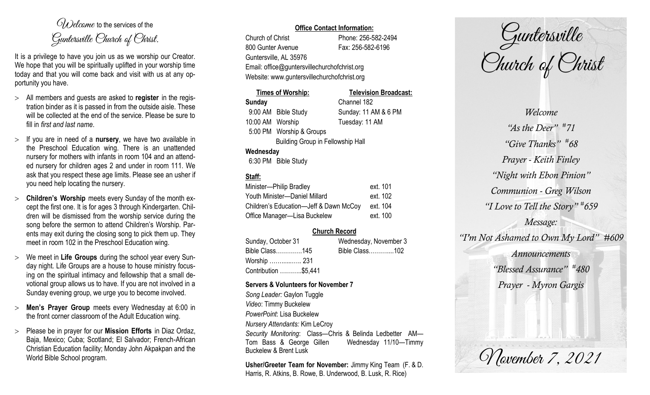$O(\lambda)$  elcame to the services of the Guntersville Church of Christ.

It is a privilege to have you join us as we worship our Creator. We hope that you will be spiritually uplifted in your worship time today and that you will come back and visit with us at any opportunity you have.

- All members and guests are asked to **register** in the registration binder as it is passed in from the outside aisle. These will be collected at the end of the service. Please be sure to fill in *first and last name*.
- $>$  If you are in need of a **nursery**, we have two available in the Preschool Education wing. There is an unattended nursery for mothers with infants in room 104 and an attended nursery for children ages 2 and under in room 111. We ask that you respect these age limits. Please see an usher if you need help locating the nursery.
- **Children's Worship** meets every Sunday of the month except the first one. It is for ages 3 through Kindergarten. Children will be dismissed from the worship service during the song before the sermon to attend Children's Worship. Parents may exit during the closing song to pick them up. They meet in room 102 in the Preschool Education wing.
- We meet in **Life Groups** during the school year every Sunday night. Life Groups are a house to house ministry focusing on the spiritual intimacy and fellowship that a small devotional group allows us to have. If you are not involved in a Sunday evening group, we urge you to become involved.
- **Men's Prayer Group** meets every Wednesday at 6:00 in the front corner classroom of the Adult Education wing.
- Please be in prayer for our **Mission Efforts** in Diaz Ordaz, Baja, Mexico; Cuba; Scotland; El Salvador; French-African Christian Education facility; Monday John Akpakpan and the World Bible School program.

## **Office Contact Information:**

Church of Christ Phone: 256-582-2494 800 Gunter Avenue Fax: 256-582-6196 Guntersville, AL 35976 Email: office@guntersvillechurchofchrist.org Website: www.guntersvillechurchofchrist.org

|                  | <b>Times of Worship:</b>                 | <b>Television Broadcast:</b> |
|------------------|------------------------------------------|------------------------------|
| <b>Sunday</b>    |                                          | Channel 182                  |
|                  | 9:00 AM Bible Study                      | Sunday: 11 AM & 6 PM         |
| 10:00 AM Worship |                                          | Tuesday: 11 AM               |
|                  | 5:00 PM Worship & Groups                 |                              |
|                  | <b>Building Group in Fellowship Hall</b> |                              |
| Wednesday        |                                          |                              |
|                  | 6:30 PM Bible Study                      |                              |

# **Staff:**

| Minister-Philip Bradley                | ext. 101 |
|----------------------------------------|----------|
| Youth Minister-Daniel Millard          | ext. 102 |
| Children's Education-Jeff & Dawn McCoy | ext. 104 |
| Office Manager-Lisa Buckelew           | ext. 100 |

## **Church Record**

Sunday, October 31 Wednesday, November 3 Bible Class………….145 Bible Class………....102 Worship ……......….. 231 Contribution ………..\$5,441

#### **Servers & Volunteers for November 7**

*Song Leader:* Gaylon Tuggle *Video*: Timmy Buckelew *PowerPoint*: Lisa Buckelew *Nursery Attendants:* Kim LeCroy *Security Monitoring*: Class—Chris & Belinda Ledbetter AM— Tom Bass & George Gillen Wednesday 11/10—Timmy Buckelew & Brent Lusk

**Usher/Greeter Team for November:** Jimmy King Team (F. & D. Harris, R. Atkins, B. Rowe, B. Underwood, B. Lusk, R. Rice)

Guntersville Church of Christ

*Welcome "As the Deer" # 71 "Give Thanks" # 68 Prayer - Keith Finley "Night with Ebon Pinion" Communion - Greg Wilson "I Love to Tell the Story" # 659 Message: "I'm Not Ashamed to Own My Lord" #609 Announcements "Blessed Assurance" # 480 Prayer - Myron Gargis*

November 7, 2021